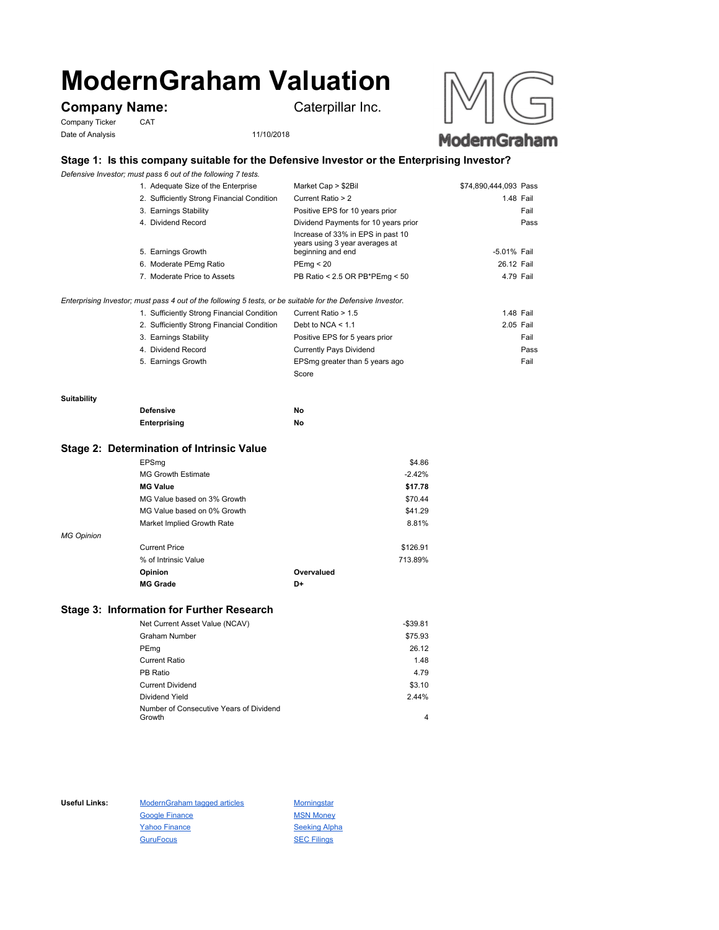# **ModernGraham Valuation**

# **Company Name:** Caterpillar Inc.

Company Ticker CAT Date of Analysis 11/10/2018





## **Stage 1: Is this company suitable for the Defensive Investor or the Enterprising Investor?**

*Defensive Investor; must pass 6 out of the following 7 tests.*

| 1. Adequate Size of the Enterprise                                                                          | Market Cap > \$2Bil                                                                      | \$74,890,444,093 Pass |           |
|-------------------------------------------------------------------------------------------------------------|------------------------------------------------------------------------------------------|-----------------------|-----------|
| 2. Sufficiently Strong Financial Condition                                                                  | Current Ratio > 2                                                                        |                       | 1.48 Fail |
| 3. Earnings Stability                                                                                       | Positive EPS for 10 years prior                                                          |                       | Fail      |
| 4. Dividend Record                                                                                          | Dividend Payments for 10 years prior                                                     |                       | Pass      |
| 5. Earnings Growth                                                                                          | Increase of 33% in EPS in past 10<br>years using 3 year averages at<br>beginning and end | -5.01% Fail           |           |
| 6. Moderate PEmg Ratio                                                                                      | PEmg < 20                                                                                | 26.12 Fail            |           |
| 7. Moderate Price to Assets                                                                                 | PB Ratio < 2.5 OR PB*PEmg < 50                                                           | 4.79 Fail             |           |
| Enterprising Investor; must pass 4 out of the following 5 tests, or be suitable for the Defensive Investor. |                                                                                          |                       |           |

| 1. Sufficiently Strong Financial Condition | Current Ratio > 1.5            | 1.48 Fail |      |
|--------------------------------------------|--------------------------------|-----------|------|
| 2. Sufficiently Strong Financial Condition | Debt to NCA $<$ 1.1            | 2.05 Fail |      |
| 3. Earnings Stability                      | Positive EPS for 5 years prior |           | Fail |
| 4. Dividend Record                         | Currently Pays Dividend        |           | Pass |
| 5. Earnings Growth                         | EPSmg greater than 5 years ago |           | Fail |
|                                            | Score                          |           |      |

#### **Suitability**

| <b>Defensive</b> | Νo |
|------------------|----|
| Enterprising     | Νo |

#### **Stage 2: Determination of Intrinsic Value**

|                   | EPSmg                       |            | \$4.86   |
|-------------------|-----------------------------|------------|----------|
|                   | <b>MG Growth Estimate</b>   |            | $-2.42%$ |
|                   | <b>MG Value</b>             |            | \$17.78  |
|                   | MG Value based on 3% Growth |            | \$70.44  |
|                   | MG Value based on 0% Growth |            | \$41.29  |
|                   | Market Implied Growth Rate  |            | 8.81%    |
| <b>MG Opinion</b> |                             |            |          |
|                   | <b>Current Price</b>        |            | \$126.91 |
|                   | % of Intrinsic Value        |            | 713.89%  |
|                   | Opinion                     | Overvalued |          |
|                   | <b>MG Grade</b>             | D+         |          |
|                   |                             |            |          |

### **Stage 3: Information for Further Research**

| Net Current Asset Value (NCAV)                    | $-$39.81$ |
|---------------------------------------------------|-----------|
| Graham Number                                     | \$75.93   |
| PEmg                                              | 26.12     |
| Current Ratio                                     | 1.48      |
| PB Ratio                                          | 4.79      |
| <b>Current Dividend</b>                           | \$3.10    |
| Dividend Yield                                    | 2.44%     |
| Number of Consecutive Years of Dividend<br>Growth | 4         |
|                                                   |           |

Useful Links: ModernGraham tagged articles Morningstar Google Finance MSN Money Yahoo Finance Seeking Alpha GuruFocus SEC Filings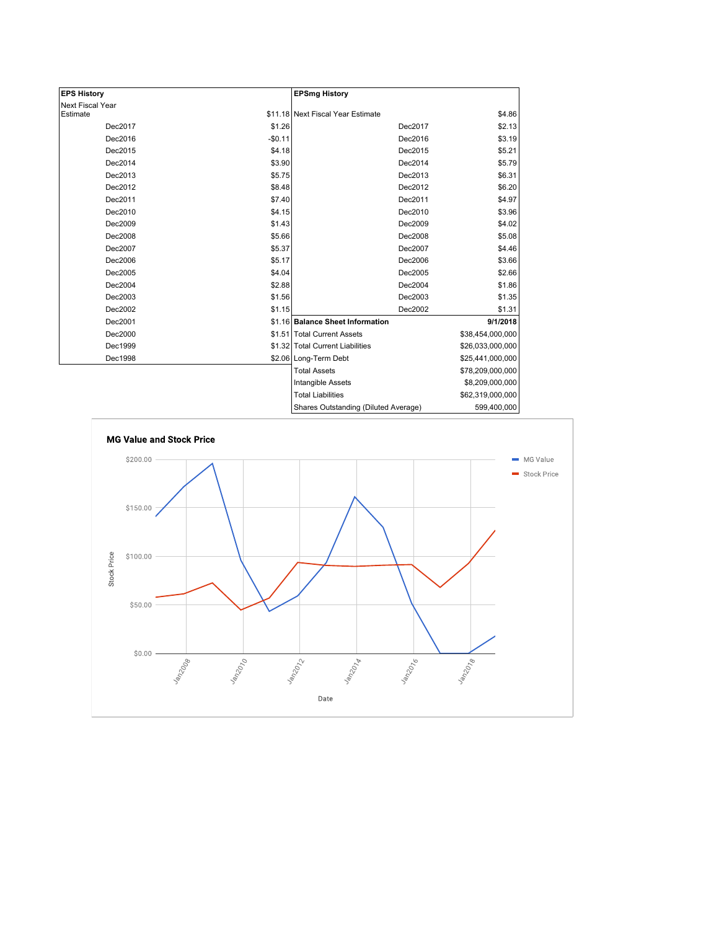| <b>EPS History</b> |          | <b>EPSmg History</b>                 |                  |
|--------------------|----------|--------------------------------------|------------------|
| Next Fiscal Year   |          |                                      |                  |
| Estimate           |          | \$11.18 Next Fiscal Year Estimate    | \$4.86           |
| Dec2017            | \$1.26   | Dec2017                              | \$2.13           |
| Dec2016            | $-$0.11$ | Dec2016                              | \$3.19           |
| Dec2015            | \$4.18   | Dec2015                              | \$5.21           |
| Dec2014            | \$3.90   | Dec2014                              | \$5.79           |
| Dec2013            | \$5.75   | Dec2013                              | \$6.31           |
| Dec2012            | \$8.48   | Dec2012                              | \$6.20           |
| Dec2011            | \$7.40   | Dec2011                              | \$4.97           |
| Dec2010            | \$4.15   | Dec2010                              | \$3.96           |
| Dec2009            | \$1.43   | Dec2009                              | \$4.02           |
| Dec2008            | \$5.66   | Dec2008                              | \$5.08           |
| Dec2007            | \$5.37   | Dec2007                              | \$4.46           |
| Dec2006            | \$5.17   | Dec2006                              | \$3.66           |
| Dec2005            | \$4.04   | Dec2005                              | \$2.66           |
| Dec2004            | \$2.88   | Dec2004                              | \$1.86           |
| Dec2003            | \$1.56   | Dec2003                              | \$1.35           |
| Dec2002            | \$1.15   | Dec2002                              | \$1.31           |
| Dec2001            |          | \$1.16 Balance Sheet Information     | 9/1/2018         |
| Dec2000            |          | \$1.51 Total Current Assets          | \$38,454,000,000 |
| Dec1999            |          | \$1.32 Total Current Liabilities     | \$26,033,000,000 |
| Dec1998            |          | \$2.06 Long-Term Debt                | \$25,441,000,000 |
|                    |          | <b>Total Assets</b>                  | \$78,209,000,000 |
|                    |          | <b>Intangible Assets</b>             | \$8,209,000,000  |
|                    |          | <b>Total Liabilities</b>             | \$62,319,000,000 |
|                    |          | Sharee Outetanding (Diluted Average) | 500 400 000      |